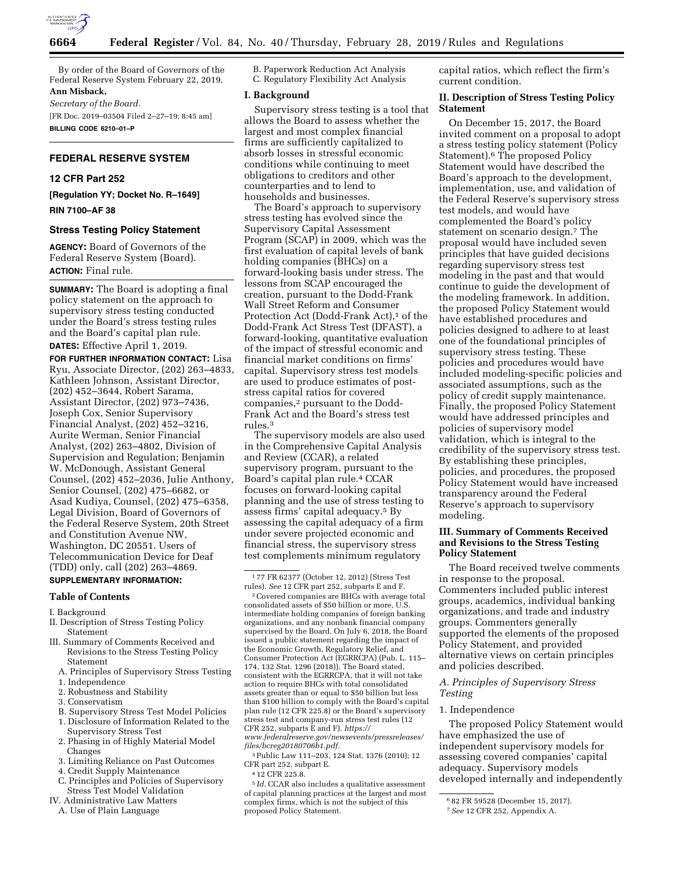

By order of the Board of Governors of the Federal Reserve System February 22, 2019. **Ann Misback,** 

*Secretary of the Board.* 

[FR Doc. 2019–03504 Filed 2–27–19; 8:45 am] **BILLING CODE 6210–01–P** 

# **FEDERAL RESERVE SYSTEM**

## **12 CFR Part 252**

**[Regulation YY; Docket No. R–1649]** 

**RIN 7100–AF 38** 

# **Stress Testing Policy Statement**

**AGENCY:** Board of Governors of the Federal Reserve System (Board). **ACTION:** Final rule.

**SUMMARY:** The Board is adopting a final policy statement on the approach to supervisory stress testing conducted under the Board's stress testing rules and the Board's capital plan rule. **DATES:** Effective April 1, 2019.

**FOR FURTHER INFORMATION CONTACT:** Lisa Ryu, Associate Director, (202) 263–4833, Kathleen Johnson, Assistant Director, (202) 452–3644, Robert Sarama, Assistant Director, (202) 973–7436, Joseph Cox, Senior Supervisory Financial Analyst, (202) 452–3216, Aurite Werman, Senior Financial Analyst, (202) 263–4802, Division of Supervision and Regulation; Benjamin W. McDonough, Assistant General Counsel, (202) 452–2036, Julie Anthony, Senior Counsel, (202) 475–6682, or Asad Kudiya, Counsel, (202) 475–6358, Legal Division, Board of Governors of the Federal Reserve System, 20th Street and Constitution Avenue NW, Washington, DC 20551. Users of Telecommunication Device for Deaf (TDD) only, call (202) 263–4869.

# **SUPPLEMENTARY INFORMATION:**

## **Table of Contents**

I. Background

- II. Description of Stress Testing Policy Statement
- III. Summary of Comments Received and Revisions to the Stress Testing Policy Statement
	- A. Principles of Supervisory Stress Testing
	- 1. Independence
	- 2. Robustness and Stability
	- 3. Conservatism
	- B. Supervisory Stress Test Model Policies 1. Disclosure of Information Related to the
	- Supervisory Stress Test 2. Phasing in of Highly Material Model
	- Changes
	- 3. Limiting Reliance on Past Outcomes
	- 4. Credit Supply Maintenance
	- C. Principles and Policies of Supervisory Stress Test Model Validation
- IV. Administrative Law Matters A. Use of Plain Language

B. Paperwork Reduction Act Analysis C. Regulatory Flexibility Act Analysis

# **I. Background**

Supervisory stress testing is a tool that allows the Board to assess whether the largest and most complex financial firms are sufficiently capitalized to absorb losses in stressful economic conditions while continuing to meet obligations to creditors and other counterparties and to lend to households and businesses.

The Board's approach to supervisory stress testing has evolved since the Supervisory Capital Assessment Program (SCAP) in 2009, which was the first evaluation of capital levels of bank holding companies (BHCs) on a forward-looking basis under stress. The lessons from SCAP encouraged the creation, pursuant to the Dodd-Frank Wall Street Reform and Consumer Protection Act (Dodd-Frank Act),<sup>1</sup> of the Dodd-Frank Act Stress Test (DFAST), a forward-looking, quantitative evaluation of the impact of stressful economic and financial market conditions on firms' capital. Supervisory stress test models are used to produce estimates of poststress capital ratios for covered companies,2 pursuant to the Dodd-Frank Act and the Board's stress test rules.3

The supervisory models are also used in the Comprehensive Capital Analysis and Review (CCAR), a related supervisory program, pursuant to the Board's capital plan rule.4 CCAR focuses on forward-looking capital planning and the use of stress testing to assess firms' capital adequacy.5 By assessing the capital adequacy of a firm under severe projected economic and financial stress, the supervisory stress test complements minimum regulatory

1 77 FR 62377 (October 12, 2012) (Stress Test rules). *See* 12 CFR part 252, subparts E and F.

2Covered companies are BHCs with average total consolidated assets of \$50 billion or more, U.S. intermediate holding companies of foreign banking organizations, and any nonbank financial company supervised by the Board. On July 6, 2018, the Board issued a public statement regarding the impact of the Economic Growth, Regulatory Relief, and Consumer Protection Act (EGRRCPA) (Pub. L. 115– 174, 132 Stat. 1296 (2018)). The Board stated, consistent with the EGRRCPA, that it will not take action to require BHCs with total consolidated assets greater than or equal to \$50 billion but less than \$100 billion to comply with the Board's capital plan rule (12 CFR 225.8) or the Board's supervisory stress test and company-run stress test rules (12 CFR 252, subparts E and F). *[https://](https://www.federalreserve.gov/newsevents/pressreleases/files/bcreg20180706b1.pdf) [www.federalreserve.gov/newsevents/pressreleases/](https://www.federalreserve.gov/newsevents/pressreleases/files/bcreg20180706b1.pdf)  [files/bcreg20180706b1.pdf.](https://www.federalreserve.gov/newsevents/pressreleases/files/bcreg20180706b1.pdf)* 

3Public Law 111–203, 124 Stat. 1376 (2010); 12 CFR part 252, subpart E.

4 12 CFR 225.8.

5 *Id.* CCAR also includes a qualitative assessment of capital planning practices at the largest and most complex firms, which is not the subject of this proposed Policy Statement.

capital ratios, which reflect the firm's current condition.

# **II. Description of Stress Testing Policy Statement**

On December 15, 2017, the Board invited comment on a proposal to adopt a stress testing policy statement (Policy Statement).<sup>6</sup> The proposed Policy Statement would have described the Board's approach to the development, implementation, use, and validation of the Federal Reserve's supervisory stress test models, and would have complemented the Board's policy statement on scenario design.7 The proposal would have included seven principles that have guided decisions regarding supervisory stress test modeling in the past and that would continue to guide the development of the modeling framework. In addition, the proposed Policy Statement would have established procedures and policies designed to adhere to at least one of the foundational principles of supervisory stress testing. These policies and procedures would have included modeling-specific policies and associated assumptions, such as the policy of credit supply maintenance. Finally, the proposed Policy Statement would have addressed principles and policies of supervisory model validation, which is integral to the credibility of the supervisory stress test. By establishing these principles, policies, and procedures, the proposed Policy Statement would have increased transparency around the Federal Reserve's approach to supervisory modeling.

# **III. Summary of Comments Received and Revisions to the Stress Testing Policy Statement**

The Board received twelve comments in response to the proposal. Commenters included public interest groups, academics, individual banking organizations, and trade and industry groups. Commenters generally supported the elements of the proposed Policy Statement, and provided alternative views on certain principles and policies described.

# *A. Principles of Supervisory Stress Testing*

## 1. Independence

The proposed Policy Statement would have emphasized the use of independent supervisory models for assessing covered companies' capital adequacy. Supervisory models developed internally and independently

<sup>6</sup> 82 FR 59528 (December 15, 2017).

<sup>7</sup>*See* 12 CFR 252, Appendix A.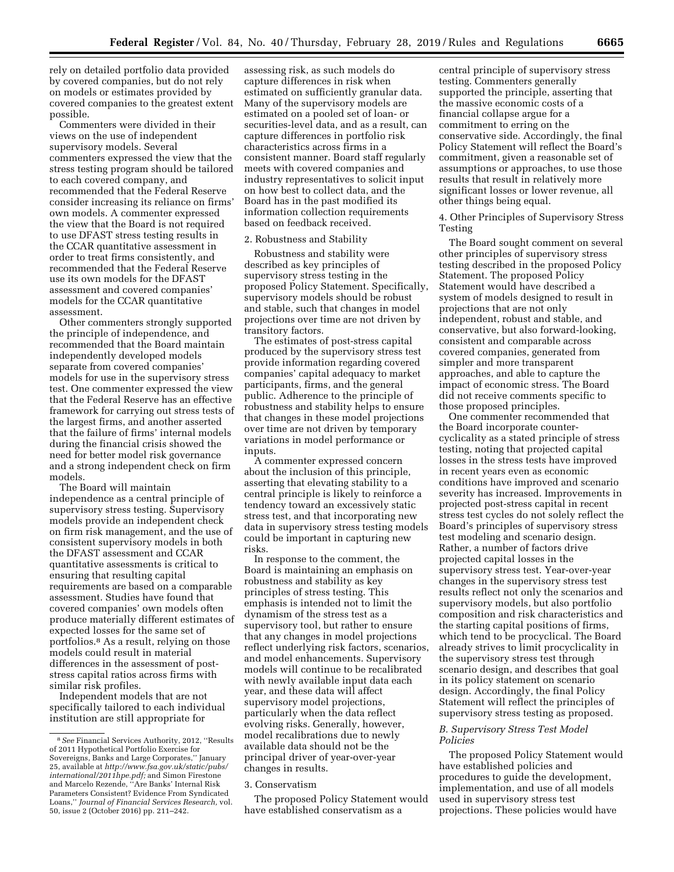rely on detailed portfolio data provided by covered companies, but do not rely on models or estimates provided by covered companies to the greatest extent possible.

Commenters were divided in their views on the use of independent supervisory models. Several commenters expressed the view that the stress testing program should be tailored to each covered company, and recommended that the Federal Reserve consider increasing its reliance on firms' own models. A commenter expressed the view that the Board is not required to use DFAST stress testing results in the CCAR quantitative assessment in order to treat firms consistently, and recommended that the Federal Reserve use its own models for the DFAST assessment and covered companies' models for the CCAR quantitative assessment.

Other commenters strongly supported the principle of independence, and recommended that the Board maintain independently developed models separate from covered companies' models for use in the supervisory stress test. One commenter expressed the view that the Federal Reserve has an effective framework for carrying out stress tests of the largest firms, and another asserted that the failure of firms' internal models during the financial crisis showed the need for better model risk governance and a strong independent check on firm models.

The Board will maintain independence as a central principle of supervisory stress testing. Supervisory models provide an independent check on firm risk management, and the use of consistent supervisory models in both the DFAST assessment and CCAR quantitative assessments is critical to ensuring that resulting capital requirements are based on a comparable assessment. Studies have found that covered companies' own models often produce materially different estimates of expected losses for the same set of portfolios.8 As a result, relying on those models could result in material differences in the assessment of poststress capital ratios across firms with similar risk profiles.

Independent models that are not specifically tailored to each individual institution are still appropriate for

assessing risk, as such models do capture differences in risk when estimated on sufficiently granular data. Many of the supervisory models are estimated on a pooled set of loan- or securities-level data, and as a result, can capture differences in portfolio risk characteristics across firms in a consistent manner. Board staff regularly meets with covered companies and industry representatives to solicit input on how best to collect data, and the Board has in the past modified its information collection requirements based on feedback received.

# 2. Robustness and Stability

Robustness and stability were described as key principles of supervisory stress testing in the proposed Policy Statement. Specifically, supervisory models should be robust and stable, such that changes in model projections over time are not driven by transitory factors.

The estimates of post-stress capital produced by the supervisory stress test provide information regarding covered companies' capital adequacy to market participants, firms, and the general public. Adherence to the principle of robustness and stability helps to ensure that changes in these model projections over time are not driven by temporary variations in model performance or inputs.

A commenter expressed concern about the inclusion of this principle, asserting that elevating stability to a central principle is likely to reinforce a tendency toward an excessively static stress test, and that incorporating new data in supervisory stress testing models could be important in capturing new risks.

In response to the comment, the Board is maintaining an emphasis on robustness and stability as key principles of stress testing. This emphasis is intended not to limit the dynamism of the stress test as a supervisory tool, but rather to ensure that any changes in model projections reflect underlying risk factors, scenarios, and model enhancements. Supervisory models will continue to be recalibrated with newly available input data each year, and these data will affect supervisory model projections, particularly when the data reflect evolving risks. Generally, however, model recalibrations due to newly available data should not be the principal driver of year-over-year changes in results.

#### 3. Conservatism

The proposed Policy Statement would have established conservatism as a

central principle of supervisory stress testing. Commenters generally supported the principle, asserting that the massive economic costs of a financial collapse argue for a commitment to erring on the conservative side. Accordingly, the final Policy Statement will reflect the Board's commitment, given a reasonable set of assumptions or approaches, to use those results that result in relatively more significant losses or lower revenue, all other things being equal.

4. Other Principles of Supervisory Stress Testing

The Board sought comment on several other principles of supervisory stress testing described in the proposed Policy Statement. The proposed Policy Statement would have described a system of models designed to result in projections that are not only independent, robust and stable, and conservative, but also forward-looking, consistent and comparable across covered companies, generated from simpler and more transparent approaches, and able to capture the impact of economic stress. The Board did not receive comments specific to those proposed principles.

One commenter recommended that the Board incorporate countercyclicality as a stated principle of stress testing, noting that projected capital losses in the stress tests have improved in recent years even as economic conditions have improved and scenario severity has increased. Improvements in projected post-stress capital in recent stress test cycles do not solely reflect the Board's principles of supervisory stress test modeling and scenario design. Rather, a number of factors drive projected capital losses in the supervisory stress test. Year-over-year changes in the supervisory stress test results reflect not only the scenarios and supervisory models, but also portfolio composition and risk characteristics and the starting capital positions of firms, which tend to be procyclical. The Board already strives to limit procyclicality in the supervisory stress test through scenario design, and describes that goal in its policy statement on scenario design. Accordingly, the final Policy Statement will reflect the principles of supervisory stress testing as proposed.

#### *B. Supervisory Stress Test Model Policies*

The proposed Policy Statement would have established policies and procedures to guide the development, implementation, and use of all models used in supervisory stress test projections. These policies would have

<sup>8</sup>*See* Financial Services Authority, 2012, ''Results of 2011 Hypothetical Portfolio Exercise for Sovereigns, Banks and Large Corporates,'' January 25, available at *[http://www.fsa.gov.uk/static/pubs/](http://www.fsa.gov.uk/static/pubs/international/2011hpe.pdf) [international/2011hpe.pdf;](http://www.fsa.gov.uk/static/pubs/international/2011hpe.pdf)* and Simon Firestone and Marcelo Rezende, ''Are Banks' Internal Risk Parameters Consistent? Evidence From Syndicated Loans,'' *Journal of Financial Services Research,* vol. 50, issue 2 (October 2016) pp. 211–242.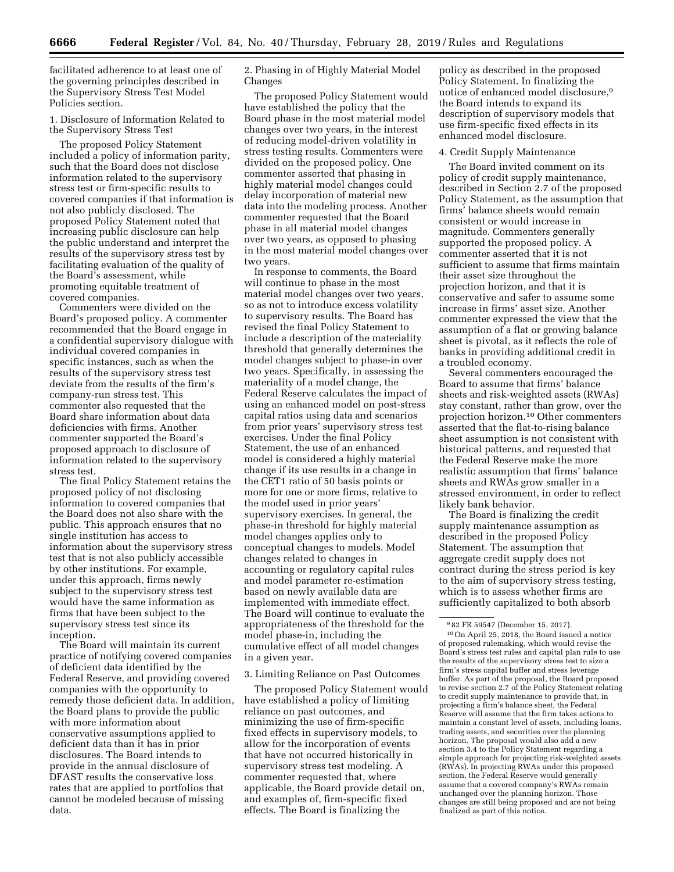facilitated adherence to at least one of the governing principles described in the Supervisory Stress Test Model Policies section.

1. Disclosure of Information Related to the Supervisory Stress Test

The proposed Policy Statement included a policy of information parity, such that the Board does not disclose information related to the supervisory stress test or firm-specific results to covered companies if that information is not also publicly disclosed. The proposed Policy Statement noted that increasing public disclosure can help the public understand and interpret the results of the supervisory stress test by facilitating evaluation of the quality of the Board's assessment, while promoting equitable treatment of covered companies.

Commenters were divided on the Board's proposed policy. A commenter recommended that the Board engage in a confidential supervisory dialogue with individual covered companies in specific instances, such as when the results of the supervisory stress test deviate from the results of the firm's company-run stress test. This commenter also requested that the Board share information about data deficiencies with firms. Another commenter supported the Board's proposed approach to disclosure of information related to the supervisory stress test.

The final Policy Statement retains the proposed policy of not disclosing information to covered companies that the Board does not also share with the public. This approach ensures that no single institution has access to information about the supervisory stress test that is not also publicly accessible by other institutions. For example, under this approach, firms newly subject to the supervisory stress test would have the same information as firms that have been subject to the supervisory stress test since its inception.

The Board will maintain its current practice of notifying covered companies of deficient data identified by the Federal Reserve, and providing covered companies with the opportunity to remedy those deficient data. In addition, the Board plans to provide the public with more information about conservative assumptions applied to deficient data than it has in prior disclosures. The Board intends to provide in the annual disclosure of DFAST results the conservative loss rates that are applied to portfolios that cannot be modeled because of missing data.

2. Phasing in of Highly Material Model Changes

The proposed Policy Statement would have established the policy that the Board phase in the most material model changes over two years, in the interest of reducing model-driven volatility in stress testing results. Commenters were divided on the proposed policy. One commenter asserted that phasing in highly material model changes could delay incorporation of material new data into the modeling process. Another commenter requested that the Board phase in all material model changes over two years, as opposed to phasing in the most material model changes over two years.

In response to comments, the Board will continue to phase in the most material model changes over two years, so as not to introduce excess volatility to supervisory results. The Board has revised the final Policy Statement to include a description of the materiality threshold that generally determines the model changes subject to phase-in over two years. Specifically, in assessing the materiality of a model change, the Federal Reserve calculates the impact of using an enhanced model on post-stress capital ratios using data and scenarios from prior years' supervisory stress test exercises. Under the final Policy Statement, the use of an enhanced model is considered a highly material change if its use results in a change in the CET1 ratio of 50 basis points or more for one or more firms, relative to the model used in prior years' supervisory exercises. In general, the phase-in threshold for highly material model changes applies only to conceptual changes to models. Model changes related to changes in accounting or regulatory capital rules and model parameter re-estimation based on newly available data are implemented with immediate effect. The Board will continue to evaluate the appropriateness of the threshold for the model phase-in, including the cumulative effect of all model changes in a given year.

3. Limiting Reliance on Past Outcomes

The proposed Policy Statement would have established a policy of limiting reliance on past outcomes, and minimizing the use of firm-specific fixed effects in supervisory models, to allow for the incorporation of events that have not occurred historically in supervisory stress test modeling. A commenter requested that, where applicable, the Board provide detail on, and examples of, firm-specific fixed effects. The Board is finalizing the

policy as described in the proposed Policy Statement. In finalizing the notice of enhanced model disclosure,9 the Board intends to expand its description of supervisory models that use firm-specific fixed effects in its enhanced model disclosure.

#### 4. Credit Supply Maintenance

The Board invited comment on its policy of credit supply maintenance, described in Section 2.7 of the proposed Policy Statement, as the assumption that firms' balance sheets would remain consistent or would increase in magnitude. Commenters generally supported the proposed policy. A commenter asserted that it is not sufficient to assume that firms maintain their asset size throughout the projection horizon, and that it is conservative and safer to assume some increase in firms' asset size. Another commenter expressed the view that the assumption of a flat or growing balance sheet is pivotal, as it reflects the role of banks in providing additional credit in a troubled economy.

Several commenters encouraged the Board to assume that firms' balance sheets and risk-weighted assets (RWAs) stay constant, rather than grow, over the projection horizon.10 Other commenters asserted that the flat-to-rising balance sheet assumption is not consistent with historical patterns, and requested that the Federal Reserve make the more realistic assumption that firms' balance sheets and RWAs grow smaller in a stressed environment, in order to reflect likely bank behavior.

The Board is finalizing the credit supply maintenance assumption as described in the proposed Policy Statement. The assumption that aggregate credit supply does not contract during the stress period is key to the aim of supervisory stress testing, which is to assess whether firms are sufficiently capitalized to both absorb

<sup>9</sup> 82 FR 59547 (December 15, 2017).

<sup>10</sup>On April 25, 2018, the Board issued a notice of proposed rulemaking, which would revise the Board's stress test rules and capital plan rule to use the results of the supervisory stress test to size a firm's stress capital buffer and stress leverage buffer. As part of the proposal, the Board proposed to revise section 2.7 of the Policy Statement relating to credit supply maintenance to provide that, in projecting a firm's balance sheet, the Federal Reserve will assume that the firm takes actions to maintain a constant level of assets, including loans, trading assets, and securities over the planning horizon. The proposal would also add a new section 3.4 to the Policy Statement regarding a simple approach for projecting risk-weighted assets (RWAs). In projecting RWAs under this proposed section, the Federal Reserve would generally assume that a covered company's RWAs remain unchanged over the planning horizon. Those changes are still being proposed and are not being finalized as part of this notice.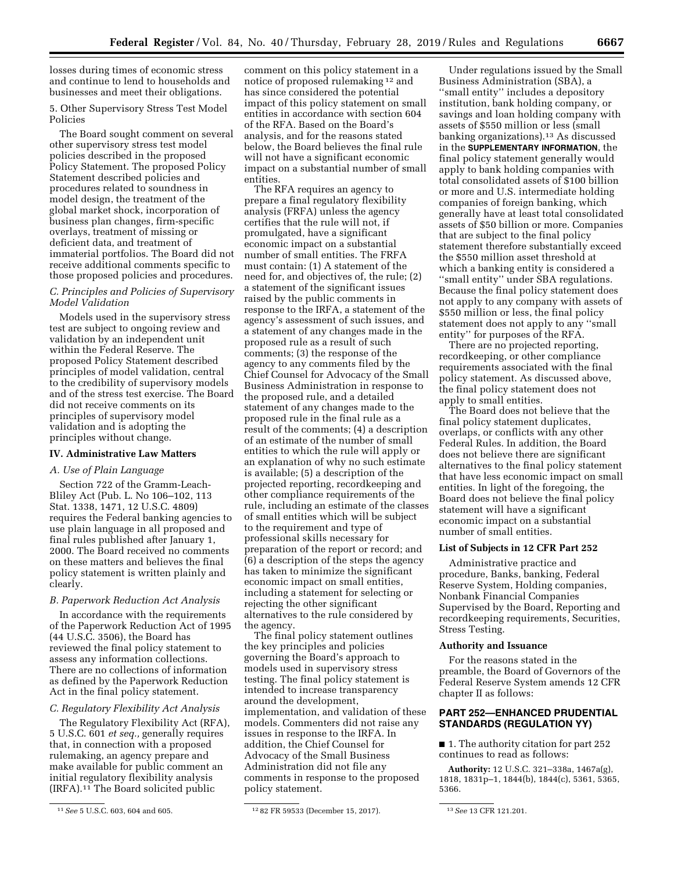losses during times of economic stress and continue to lend to households and businesses and meet their obligations.

5. Other Supervisory Stress Test Model Policies

The Board sought comment on several other supervisory stress test model policies described in the proposed Policy Statement. The proposed Policy Statement described policies and procedures related to soundness in model design, the treatment of the global market shock, incorporation of business plan changes, firm-specific overlays, treatment of missing or deficient data, and treatment of immaterial portfolios. The Board did not receive additional comments specific to those proposed policies and procedures.

# *C. Principles and Policies of Supervisory Model Validation*

Models used in the supervisory stress test are subject to ongoing review and validation by an independent unit within the Federal Reserve. The proposed Policy Statement described principles of model validation, central to the credibility of supervisory models and of the stress test exercise. The Board did not receive comments on its principles of supervisory model validation and is adopting the principles without change.

## **IV. Administrative Law Matters**

# *A. Use of Plain Language*

Section 722 of the Gramm-Leach-Bliley Act (Pub. L. No 106–102, 113 Stat. 1338, 1471, 12 U.S.C. 4809) requires the Federal banking agencies to use plain language in all proposed and final rules published after January 1, 2000. The Board received no comments on these matters and believes the final policy statement is written plainly and clearly.

#### *B. Paperwork Reduction Act Analysis*

In accordance with the requirements of the Paperwork Reduction Act of 1995 (44 U.S.C. 3506), the Board has reviewed the final policy statement to assess any information collections. There are no collections of information as defined by the Paperwork Reduction Act in the final policy statement.

# *C. Regulatory Flexibility Act Analysis*

The Regulatory Flexibility Act (RFA), 5 U.S.C. 601 *et seq.,* generally requires that, in connection with a proposed rulemaking, an agency prepare and make available for public comment an initial regulatory flexibility analysis  $\left( \text{IRFA}\right) .$ <sup>11</sup> The Board solicited public

comment on this policy statement in a notice of proposed rulemaking 12 and has since considered the potential impact of this policy statement on small entities in accordance with section 604 of the RFA. Based on the Board's analysis, and for the reasons stated below, the Board believes the final rule will not have a significant economic impact on a substantial number of small entities.

The RFA requires an agency to prepare a final regulatory flexibility analysis (FRFA) unless the agency certifies that the rule will not, if promulgated, have a significant economic impact on a substantial number of small entities. The FRFA must contain: (1) A statement of the need for, and objectives of, the rule; (2) a statement of the significant issues raised by the public comments in response to the IRFA, a statement of the agency's assessment of such issues, and a statement of any changes made in the proposed rule as a result of such comments; (3) the response of the agency to any comments filed by the Chief Counsel for Advocacy of the Small Business Administration in response to the proposed rule, and a detailed statement of any changes made to the proposed rule in the final rule as a result of the comments; (4) a description of an estimate of the number of small entities to which the rule will apply or an explanation of why no such estimate is available; (5) a description of the projected reporting, recordkeeping and other compliance requirements of the rule, including an estimate of the classes of small entities which will be subject to the requirement and type of professional skills necessary for preparation of the report or record; and (6) a description of the steps the agency has taken to minimize the significant economic impact on small entities, including a statement for selecting or rejecting the other significant alternatives to the rule considered by the agency.

The final policy statement outlines the key principles and policies governing the Board's approach to models used in supervisory stress testing. The final policy statement is intended to increase transparency around the development, implementation, and validation of these models. Commenters did not raise any issues in response to the IRFA. In addition, the Chief Counsel for Advocacy of the Small Business Administration did not file any comments in response to the proposed policy statement.

Under regulations issued by the Small Business Administration (SBA), a ''small entity'' includes a depository institution, bank holding company, or savings and loan holding company with assets of \$550 million or less (small banking organizations).13 As discussed in the **SUPPLEMENTARY INFORMATION**, the final policy statement generally would apply to bank holding companies with total consolidated assets of \$100 billion or more and U.S. intermediate holding companies of foreign banking, which generally have at least total consolidated assets of \$50 billion or more. Companies that are subject to the final policy statement therefore substantially exceed the \$550 million asset threshold at which a banking entity is considered a ''small entity'' under SBA regulations. Because the final policy statement does not apply to any company with assets of \$550 million or less, the final policy statement does not apply to any ''small entity'' for purposes of the RFA.

There are no projected reporting, recordkeeping, or other compliance requirements associated with the final policy statement. As discussed above, the final policy statement does not apply to small entities.

The Board does not believe that the final policy statement duplicates, overlaps, or conflicts with any other Federal Rules. In addition, the Board does not believe there are significant alternatives to the final policy statement that have less economic impact on small entities. In light of the foregoing, the Board does not believe the final policy statement will have a significant economic impact on a substantial number of small entities.

#### **List of Subjects in 12 CFR Part 252**

Administrative practice and procedure, Banks, banking, Federal Reserve System, Holding companies, Nonbank Financial Companies Supervised by the Board, Reporting and recordkeeping requirements, Securities, Stress Testing.

#### **Authority and Issuance**

For the reasons stated in the preamble, the Board of Governors of the Federal Reserve System amends 12 CFR chapter II as follows:

# **PART 252—ENHANCED PRUDENTIAL STANDARDS (REGULATION YY)**

■ 1. The authority citation for part 252 continues to read as follows:

**Authority:** 12 U.S.C. 321–338a, 1467a(g), 1818, 1831p–1, 1844(b), 1844(c), 5361, 5365, 5366.

<sup>11</sup>*See* 5 U.S.C. 603, 604 and 605. 12 82 FR 59533 (December 15, 2017). 13*See* 13 CFR 121.201.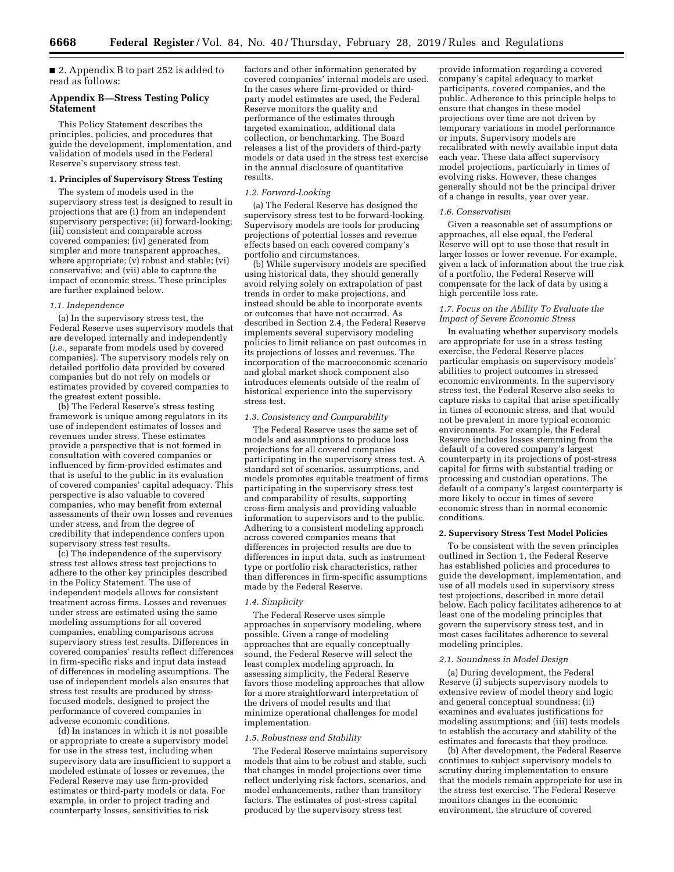■ 2. Appendix B to part 252 is added to read as follows:

## **Appendix B—Stress Testing Policy Statement**

This Policy Statement describes the principles, policies, and procedures that guide the development, implementation, and validation of models used in the Federal Reserve's supervisory stress test.

#### **1. Principles of Supervisory Stress Testing**

The system of models used in the supervisory stress test is designed to result in projections that are (i) from an independent supervisory perspective; (ii) forward-looking; (iii) consistent and comparable across covered companies; (iv) generated from simpler and more transparent approaches, where appropriate; (v) robust and stable; (vi) conservative; and (vii) able to capture the impact of economic stress. These principles are further explained below.

#### *1.1. Independence*

(a) In the supervisory stress test, the Federal Reserve uses supervisory models that are developed internally and independently (*i.e.,* separate from models used by covered companies). The supervisory models rely on detailed portfolio data provided by covered companies but do not rely on models or estimates provided by covered companies to the greatest extent possible.

(b) The Federal Reserve's stress testing framework is unique among regulators in its use of independent estimates of losses and revenues under stress. These estimates provide a perspective that is not formed in consultation with covered companies or influenced by firm-provided estimates and that is useful to the public in its evaluation of covered companies' capital adequacy. This perspective is also valuable to covered companies, who may benefit from external assessments of their own losses and revenues under stress, and from the degree of credibility that independence confers upon supervisory stress test results.

(c) The independence of the supervisory stress test allows stress test projections to adhere to the other key principles described in the Policy Statement. The use of independent models allows for consistent treatment across firms. Losses and revenues under stress are estimated using the same modeling assumptions for all covered companies, enabling comparisons across supervisory stress test results. Differences in covered companies' results reflect differences in firm-specific risks and input data instead of differences in modeling assumptions. The use of independent models also ensures that stress test results are produced by stressfocused models, designed to project the performance of covered companies in adverse economic conditions.

(d) In instances in which it is not possible or appropriate to create a supervisory model for use in the stress test, including when supervisory data are insufficient to support a modeled estimate of losses or revenues, the Federal Reserve may use firm-provided estimates or third-party models or data. For example, in order to project trading and counterparty losses, sensitivities to risk

factors and other information generated by covered companies' internal models are used. In the cases where firm-provided or thirdparty model estimates are used, the Federal Reserve monitors the quality and performance of the estimates through targeted examination, additional data collection, or benchmarking. The Board releases a list of the providers of third-party models or data used in the stress test exercise in the annual disclosure of quantitative results.

#### *1.2. Forward-Looking*

(a) The Federal Reserve has designed the supervisory stress test to be forward-looking. Supervisory models are tools for producing projections of potential losses and revenue effects based on each covered company's portfolio and circumstances.

(b) While supervisory models are specified using historical data, they should generally avoid relying solely on extrapolation of past trends in order to make projections, and instead should be able to incorporate events or outcomes that have not occurred. As described in Section 2.4, the Federal Reserve implements several supervisory modeling policies to limit reliance on past outcomes in its projections of losses and revenues. The incorporation of the macroeconomic scenario and global market shock component also introduces elements outside of the realm of historical experience into the supervisory stress test.

#### *1.3. Consistency and Comparability*

The Federal Reserve uses the same set of models and assumptions to produce loss projections for all covered companies participating in the supervisory stress test. A standard set of scenarios, assumptions, and models promotes equitable treatment of firms participating in the supervisory stress test and comparability of results, supporting cross-firm analysis and providing valuable information to supervisors and to the public. Adhering to a consistent modeling approach across covered companies means that differences in projected results are due to differences in input data, such as instrument type or portfolio risk characteristics, rather than differences in firm-specific assumptions made by the Federal Reserve.

#### *1.4. Simplicity*

The Federal Reserve uses simple approaches in supervisory modeling, where possible. Given a range of modeling approaches that are equally conceptually sound, the Federal Reserve will select the least complex modeling approach. In assessing simplicity, the Federal Reserve favors those modeling approaches that allow for a more straightforward interpretation of the drivers of model results and that minimize operational challenges for model implementation.

#### *1.5. Robustness and Stability*

The Federal Reserve maintains supervisory models that aim to be robust and stable, such that changes in model projections over time reflect underlying risk factors, scenarios, and model enhancements, rather than transitory factors. The estimates of post-stress capital produced by the supervisory stress test

provide information regarding a covered company's capital adequacy to market participants, covered companies, and the public. Adherence to this principle helps to ensure that changes in these model projections over time are not driven by temporary variations in model performance or inputs. Supervisory models are recalibrated with newly available input data each year. These data affect supervisory model projections, particularly in times of evolving risks. However, these changes generally should not be the principal driver of a change in results, year over year.

## *1.6. Conservatism*

Given a reasonable set of assumptions or approaches, all else equal, the Federal Reserve will opt to use those that result in larger losses or lower revenue. For example, given a lack of information about the true risk of a portfolio, the Federal Reserve will compensate for the lack of data by using a high percentile loss rate.

## *1.7. Focus on the Ability To Evaluate the Impact of Severe Economic Stress*

In evaluating whether supervisory models are appropriate for use in a stress testing exercise, the Federal Reserve places particular emphasis on supervisory models' abilities to project outcomes in stressed economic environments. In the supervisory stress test, the Federal Reserve also seeks to capture risks to capital that arise specifically in times of economic stress, and that would not be prevalent in more typical economic environments. For example, the Federal Reserve includes losses stemming from the default of a covered company's largest counterparty in its projections of post-stress capital for firms with substantial trading or processing and custodian operations. The default of a company's largest counterparty is more likely to occur in times of severe economic stress than in normal economic conditions.

# **2. Supervisory Stress Test Model Policies**

To be consistent with the seven principles outlined in Section 1, the Federal Reserve has established policies and procedures to guide the development, implementation, and use of all models used in supervisory stress test projections, described in more detail below. Each policy facilitates adherence to at least one of the modeling principles that govern the supervisory stress test, and in most cases facilitates adherence to several modeling principles.

#### *2.1. Soundness in Model Design*

(a) During development, the Federal Reserve (i) subjects supervisory models to extensive review of model theory and logic and general conceptual soundness; (ii) examines and evaluates justifications for modeling assumptions; and (iii) tests models to establish the accuracy and stability of the estimates and forecasts that they produce.

(b) After development, the Federal Reserve continues to subject supervisory models to scrutiny during implementation to ensure that the models remain appropriate for use in the stress test exercise. The Federal Reserve monitors changes in the economic environment, the structure of covered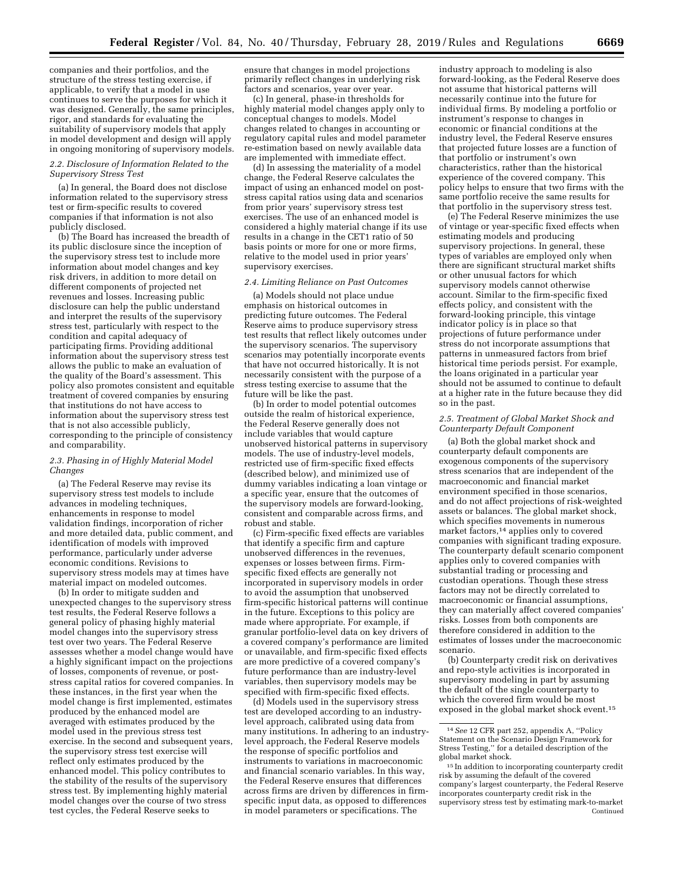companies and their portfolios, and the structure of the stress testing exercise, if applicable, to verify that a model in use continues to serve the purposes for which it was designed. Generally, the same principles, rigor, and standards for evaluating the suitability of supervisory models that apply in model development and design will apply in ongoing monitoring of supervisory models.

## *2.2. Disclosure of Information Related to the Supervisory Stress Test*

(a) In general, the Board does not disclose information related to the supervisory stress test or firm-specific results to covered companies if that information is not also publicly disclosed.

(b) The Board has increased the breadth of its public disclosure since the inception of the supervisory stress test to include more information about model changes and key risk drivers, in addition to more detail on different components of projected net revenues and losses. Increasing public disclosure can help the public understand and interpret the results of the supervisory stress test, particularly with respect to the condition and capital adequacy of participating firms. Providing additional information about the supervisory stress test allows the public to make an evaluation of the quality of the Board's assessment. This policy also promotes consistent and equitable treatment of covered companies by ensuring that institutions do not have access to information about the supervisory stress test that is not also accessible publicly, corresponding to the principle of consistency and comparability.

# *2.3. Phasing in of Highly Material Model Changes*

(a) The Federal Reserve may revise its supervisory stress test models to include advances in modeling techniques, enhancements in response to model validation findings, incorporation of richer and more detailed data, public comment, and identification of models with improved performance, particularly under adverse economic conditions. Revisions to supervisory stress models may at times have material impact on modeled outcomes.

(b) In order to mitigate sudden and unexpected changes to the supervisory stress test results, the Federal Reserve follows a general policy of phasing highly material model changes into the supervisory stress test over two years. The Federal Reserve assesses whether a model change would have a highly significant impact on the projections of losses, components of revenue, or poststress capital ratios for covered companies. In these instances, in the first year when the model change is first implemented, estimates produced by the enhanced model are averaged with estimates produced by the model used in the previous stress test exercise. In the second and subsequent years, the supervisory stress test exercise will reflect only estimates produced by the enhanced model. This policy contributes to the stability of the results of the supervisory stress test. By implementing highly material model changes over the course of two stress test cycles, the Federal Reserve seeks to

ensure that changes in model projections primarily reflect changes in underlying risk factors and scenarios, year over year.

(c) In general, phase-in thresholds for highly material model changes apply only to conceptual changes to models. Model changes related to changes in accounting or regulatory capital rules and model parameter re-estimation based on newly available data are implemented with immediate effect.

(d) In assessing the materiality of a model change, the Federal Reserve calculates the impact of using an enhanced model on poststress capital ratios using data and scenarios from prior years' supervisory stress test exercises. The use of an enhanced model is considered a highly material change if its use results in a change in the CET1 ratio of 50 basis points or more for one or more firms, relative to the model used in prior years' supervisory exercises.

#### *2.4. Limiting Reliance on Past Outcomes*

(a) Models should not place undue emphasis on historical outcomes in predicting future outcomes. The Federal Reserve aims to produce supervisory stress test results that reflect likely outcomes under the supervisory scenarios. The supervisory scenarios may potentially incorporate events that have not occurred historically. It is not necessarily consistent with the purpose of a stress testing exercise to assume that the future will be like the past.

(b) In order to model potential outcomes outside the realm of historical experience, the Federal Reserve generally does not include variables that would capture unobserved historical patterns in supervisory models. The use of industry-level models, restricted use of firm-specific fixed effects (described below), and minimized use of dummy variables indicating a loan vintage or a specific year, ensure that the outcomes of the supervisory models are forward-looking, consistent and comparable across firms, and robust and stable.

(c) Firm-specific fixed effects are variables that identify a specific firm and capture unobserved differences in the revenues, expenses or losses between firms. Firmspecific fixed effects are generally not incorporated in supervisory models in order to avoid the assumption that unobserved firm-specific historical patterns will continue in the future. Exceptions to this policy are made where appropriate. For example, if granular portfolio-level data on key drivers of a covered company's performance are limited or unavailable, and firm-specific fixed effects are more predictive of a covered company's future performance than are industry-level variables, then supervisory models may be specified with firm-specific fixed effects.

(d) Models used in the supervisory stress test are developed according to an industrylevel approach, calibrated using data from many institutions. In adhering to an industrylevel approach, the Federal Reserve models the response of specific portfolios and instruments to variations in macroeconomic and financial scenario variables. In this way, the Federal Reserve ensures that differences across firms are driven by differences in firmspecific input data, as opposed to differences in model parameters or specifications. The

industry approach to modeling is also forward-looking, as the Federal Reserve does not assume that historical patterns will necessarily continue into the future for individual firms. By modeling a portfolio or instrument's response to changes in economic or financial conditions at the industry level, the Federal Reserve ensures that projected future losses are a function of that portfolio or instrument's own characteristics, rather than the historical experience of the covered company. This policy helps to ensure that two firms with the same portfolio receive the same results for that portfolio in the supervisory stress test.

(e) The Federal Reserve minimizes the use of vintage or year-specific fixed effects when estimating models and producing supervisory projections. In general, these types of variables are employed only when there are significant structural market shifts or other unusual factors for which supervisory models cannot otherwise account. Similar to the firm-specific fixed effects policy, and consistent with the forward-looking principle, this vintage indicator policy is in place so that projections of future performance under stress do not incorporate assumptions that patterns in unmeasured factors from brief historical time periods persist. For example, the loans originated in a particular year should not be assumed to continue to default at a higher rate in the future because they did so in the past.

## *2.5. Treatment of Global Market Shock and Counterparty Default Component*

(a) Both the global market shock and counterparty default components are exogenous components of the supervisory stress scenarios that are independent of the macroeconomic and financial market environment specified in those scenarios, and do not affect projections of risk-weighted assets or balances. The global market shock, which specifies movements in numerous market factors,14 applies only to covered companies with significant trading exposure. The counterparty default scenario component applies only to covered companies with substantial trading or processing and custodian operations. Though these stress factors may not be directly correlated to macroeconomic or financial assumptions, they can materially affect covered companies' risks. Losses from both components are therefore considered in addition to the estimates of losses under the macroeconomic scenario.

(b) Counterparty credit risk on derivatives and repo-style activities is incorporated in supervisory modeling in part by assuming the default of the single counterparty to which the covered firm would be most exposed in the global market shock event.15

<sup>14</sup>*See* 12 CFR part 252, appendix A, ''Policy Statement on the Scenario Design Framework for Stress Testing,'' for a detailed description of the global market shock.

<sup>15</sup> In addition to incorporating counterparty credit risk by assuming the default of the covered company's largest counterparty, the Federal Reserve incorporates counterparty credit risk in the supervisory stress test by estimating mark-to-market Continued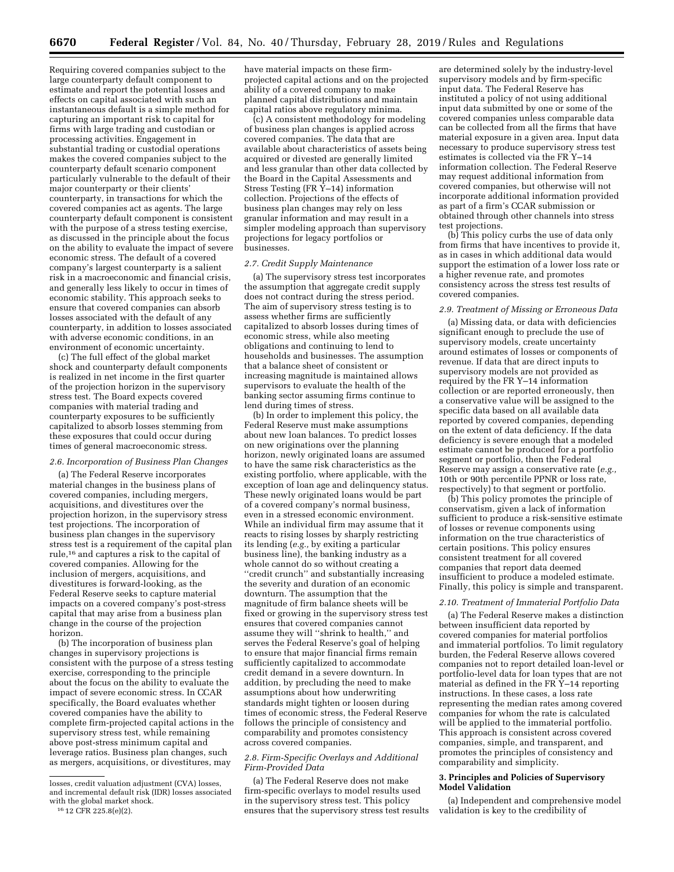Requiring covered companies subject to the large counterparty default component to estimate and report the potential losses and effects on capital associated with such an instantaneous default is a simple method for capturing an important risk to capital for firms with large trading and custodian or processing activities. Engagement in substantial trading or custodial operations makes the covered companies subject to the counterparty default scenario component particularly vulnerable to the default of their major counterparty or their clients' counterparty, in transactions for which the covered companies act as agents. The large counterparty default component is consistent with the purpose of a stress testing exercise, as discussed in the principle about the focus on the ability to evaluate the impact of severe economic stress. The default of a covered company's largest counterparty is a salient risk in a macroeconomic and financial crisis, and generally less likely to occur in times of economic stability. This approach seeks to ensure that covered companies can absorb losses associated with the default of any counterparty, in addition to losses associated with adverse economic conditions, in an environment of economic uncertainty.

(c) The full effect of the global market shock and counterparty default components is realized in net income in the first quarter of the projection horizon in the supervisory stress test. The Board expects covered companies with material trading and counterparty exposures to be sufficiently capitalized to absorb losses stemming from these exposures that could occur during times of general macroeconomic stress.

## *2.6. Incorporation of Business Plan Changes*

(a) The Federal Reserve incorporates material changes in the business plans of covered companies, including mergers, acquisitions, and divestitures over the projection horizon, in the supervisory stress test projections. The incorporation of business plan changes in the supervisory stress test is a requirement of the capital plan rule,16 and captures a risk to the capital of covered companies. Allowing for the inclusion of mergers, acquisitions, and divestitures is forward-looking, as the Federal Reserve seeks to capture material impacts on a covered company's post-stress capital that may arise from a business plan change in the course of the projection horizon.

(b) The incorporation of business plan changes in supervisory projections is consistent with the purpose of a stress testing exercise, corresponding to the principle about the focus on the ability to evaluate the impact of severe economic stress. In CCAR specifically, the Board evaluates whether covered companies have the ability to complete firm-projected capital actions in the supervisory stress test, while remaining above post-stress minimum capital and leverage ratios. Business plan changes, such as mergers, acquisitions, or divestitures, may

16 12 CFR 225.8(e)(2).

have material impacts on these firmprojected capital actions and on the projected ability of a covered company to make planned capital distributions and maintain capital ratios above regulatory minima.

(c) A consistent methodology for modeling of business plan changes is applied across covered companies. The data that are available about characteristics of assets being acquired or divested are generally limited and less granular than other data collected by the Board in the Capital Assessments and Stress Testing (FR  $\tilde{Y}$ –14) information collection. Projections of the effects of business plan changes may rely on less granular information and may result in a simpler modeling approach than supervisory projections for legacy portfolios or businesses.

#### *2.7. Credit Supply Maintenance*

(a) The supervisory stress test incorporates the assumption that aggregate credit supply does not contract during the stress period. The aim of supervisory stress testing is to assess whether firms are sufficiently capitalized to absorb losses during times of economic stress, while also meeting obligations and continuing to lend to households and businesses. The assumption that a balance sheet of consistent or increasing magnitude is maintained allows supervisors to evaluate the health of the banking sector assuming firms continue to lend during times of stress.

(b) In order to implement this policy, the Federal Reserve must make assumptions about new loan balances. To predict losses on new originations over the planning horizon, newly originated loans are assumed to have the same risk characteristics as the existing portfolio, where applicable, with the exception of loan age and delinquency status. These newly originated loans would be part of a covered company's normal business, even in a stressed economic environment. While an individual firm may assume that it reacts to rising losses by sharply restricting its lending (*e.g.,* by exiting a particular business line), the banking industry as a whole cannot do so without creating a ''credit crunch'' and substantially increasing the severity and duration of an economic downturn. The assumption that the magnitude of firm balance sheets will be fixed or growing in the supervisory stress test ensures that covered companies cannot assume they will ''shrink to health,'' and serves the Federal Reserve's goal of helping to ensure that major financial firms remain sufficiently capitalized to accommodate credit demand in a severe downturn. In addition, by precluding the need to make assumptions about how underwriting standards might tighten or loosen during times of economic stress, the Federal Reserve follows the principle of consistency and comparability and promotes consistency across covered companies.

## *2.8. Firm-Specific Overlays and Additional Firm-Provided Data*

(a) The Federal Reserve does not make firm-specific overlays to model results used in the supervisory stress test. This policy ensures that the supervisory stress test results

are determined solely by the industry-level supervisory models and by firm-specific input data. The Federal Reserve has instituted a policy of not using additional input data submitted by one or some of the covered companies unless comparable data can be collected from all the firms that have material exposure in a given area. Input data necessary to produce supervisory stress test estimates is collected via the FR Y–14 information collection. The Federal Reserve may request additional information from covered companies, but otherwise will not incorporate additional information provided as part of a firm's CCAR submission or obtained through other channels into stress test projections.

(b) This policy curbs the use of data only from firms that have incentives to provide it, as in cases in which additional data would support the estimation of a lower loss rate or a higher revenue rate, and promotes consistency across the stress test results of covered companies.

#### *2.9. Treatment of Missing or Erroneous Data*

(a) Missing data, or data with deficiencies significant enough to preclude the use of supervisory models, create uncertainty around estimates of losses or components of revenue. If data that are direct inputs to supervisory models are not provided as required by the FR Y–14 information collection or are reported erroneously, then a conservative value will be assigned to the specific data based on all available data reported by covered companies, depending on the extent of data deficiency. If the data deficiency is severe enough that a modeled estimate cannot be produced for a portfolio segment or portfolio, then the Federal Reserve may assign a conservative rate (*e.g.,*  10th or 90th percentile PPNR or loss rate, respectively) to that segment or portfolio.

(b) This policy promotes the principle of conservatism, given a lack of information sufficient to produce a risk-sensitive estimate of losses or revenue components using information on the true characteristics of certain positions. This policy ensures consistent treatment for all covered companies that report data deemed insufficient to produce a modeled estimate. Finally, this policy is simple and transparent.

#### *2.10. Treatment of Immaterial Portfolio Data*

(a) The Federal Reserve makes a distinction between insufficient data reported by covered companies for material portfolios and immaterial portfolios. To limit regulatory burden, the Federal Reserve allows covered companies not to report detailed loan-level or portfolio-level data for loan types that are not material as defined in the FR  $\hat{Y}$ –14 reporting instructions. In these cases, a loss rate representing the median rates among covered companies for whom the rate is calculated will be applied to the immaterial portfolio. This approach is consistent across covered companies, simple, and transparent, and promotes the principles of consistency and comparability and simplicity.

## **3. Principles and Policies of Supervisory Model Validation**

(a) Independent and comprehensive model validation is key to the credibility of

losses, credit valuation adjustment (CVA) losses, and incremental default risk (IDR) losses associated with the global market shock.